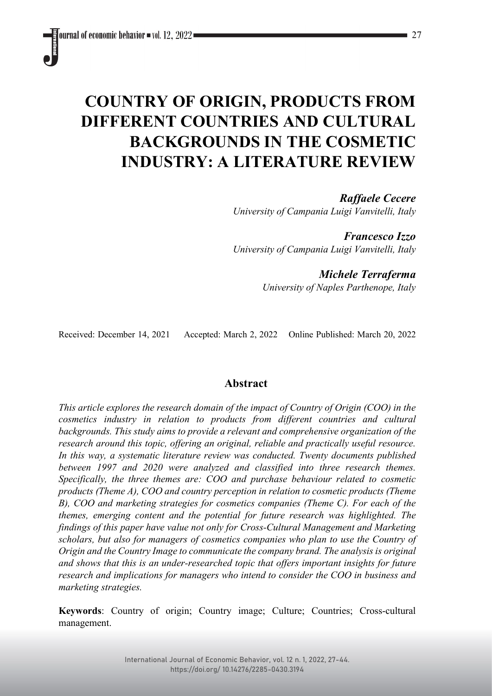# **COUNTRY OF ORIGIN, PRODUCTS FROM DIFFERENT COUNTRIES AND CULTURAL BACKGROUNDS IN THE COSMETIC INDUSTRY: A LITERATURE REVIEW**

*Raffaele Cecere University of Campania Luigi Vanvitelli, Italy*

*Francesco Izzo University of Campania Luigi Vanvitelli, Italy*

> *Michele Terraferma University of Naples Parthenope, Italy*

Received: December 14, 2021 Accepted: March 2, 2022 Online Published: March 20, 2022

# **Abstract**

*This article explores the research domain of the impact of Country of Origin (COO) in the cosmetics industry in relation to products from different countries and cultural backgrounds. This study aims to provide a relevant and comprehensive organization of the research around this topic, offering an original, reliable and practically useful resource. In this way, a systematic literature review was conducted. Twenty documents published between 1997 and 2020 were analyzed and classified into three research themes. Specifically, the three themes are: COO and purchase behaviour related to cosmetic products (Theme A), COO and country perception in relation to cosmetic products (Theme B), COO and marketing strategies for cosmetics companies (Theme C). For each of the themes, emerging content and the potential for future research was highlighted. The findings of this paper have value not only for Cross-Cultural Management and Marketing scholars, but also for managers of cosmetics companies who plan to use the Country of Origin and the Country Image to communicate the company brand. The analysis is original and shows that this is an under-researched topic that offers important insights for future research and implications for managers who intend to consider the COO in business and marketing strategies.*

**Keywords**: Country of origin; Country image; Culture; Countries; Cross-cultural management.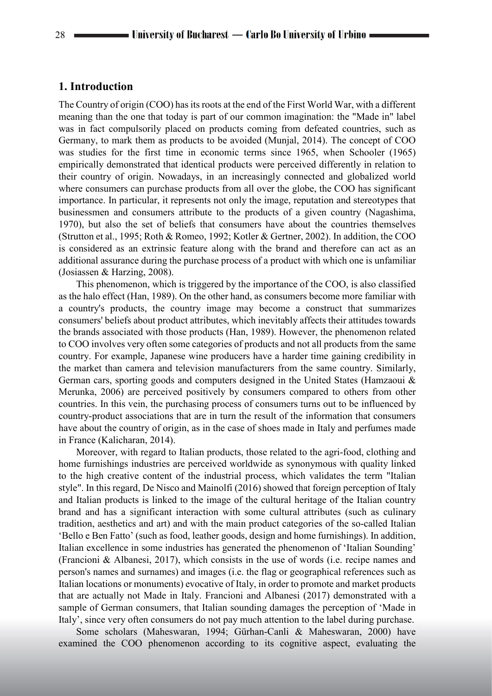## **1. Introduction**

The Country of origin (COO) has its roots at the end of the First World War, with a different meaning than the one that today is part of our common imagination: the "Made in" label was in fact compulsorily placed on products coming from defeated countries, such as Germany, to mark them as products to be avoided (Munjal, 2014). The concept of COO was studies for the first time in economic terms since 1965, when Schooler (1965) empirically demonstrated that identical products were perceived differently in relation to their country of origin. Nowadays, in an increasingly connected and globalized world where consumers can purchase products from all over the globe, the COO has significant importance. In particular, it represents not only the image, reputation and stereotypes that businessmen and consumers attribute to the products of a given country (Nagashima, 1970), but also the set of beliefs that consumers have about the countries themselves (Strutton et al., 1995; Roth & Romeo, 1992; Kotler & Gertner, 2002). In addition, the COO is considered as an extrinsic feature along with the brand and therefore can act as an additional assurance during the purchase process of a product with which one is unfamiliar (Josiassen & Harzing, 2008).

This phenomenon, which is triggered by the importance of the COO, is also classified as the halo effect (Han, 1989). On the other hand, as consumers become more familiar with a country's products, the country image may become a construct that summarizes consumers' beliefs about product attributes, which inevitably affects their attitudes towards the brands associated with those products (Han, 1989). However, the phenomenon related to COO involves very often some categories of products and not all products from the same country. For example, Japanese wine producers have a harder time gaining credibility in the market than camera and television manufacturers from the same country. Similarly, German cars, sporting goods and computers designed in the United States (Hamzaoui & Merunka, 2006) are perceived positively by consumers compared to others from other countries. In this vein, the purchasing process of consumers turns out to be influenced by country-product associations that are in turn the result of the information that consumers have about the country of origin, as in the case of shoes made in Italy and perfumes made in France (Kalicharan, 2014).

Moreover, with regard to Italian products, those related to the agri-food, clothing and home furnishings industries are perceived worldwide as synonymous with quality linked to the high creative content of the industrial process, which validates the term "Italian style". In this regard, De Nisco and Mainolfi (2016) showed that foreign perception of Italy and Italian products is linked to the image of the cultural heritage of the Italian country brand and has a significant interaction with some cultural attributes (such as culinary tradition, aesthetics and art) and with the main product categories of the so-called Italian 'Bello e Ben Fatto' (such as food, leather goods, design and home furnishings). In addition, Italian excellence in some industries has generated the phenomenon of 'Italian Sounding' (Francioni & Albanesi, 2017), which consists in the use of words (i.e. recipe names and person's names and surnames) and images (i.e. the flag or geographical references such as Italian locations or monuments) evocative of Italy, in order to promote and market products that are actually not Made in Italy. Francioni and Albanesi (2017) demonstrated with a sample of German consumers, that Italian sounding damages the perception of 'Made in Italy', since very often consumers do not pay much attention to the label during purchase.

Some scholars (Maheswaran, 1994; Gürhan-Canli & Maheswaran, 2000) have examined the COO phenomenon according to its cognitive aspect, evaluating the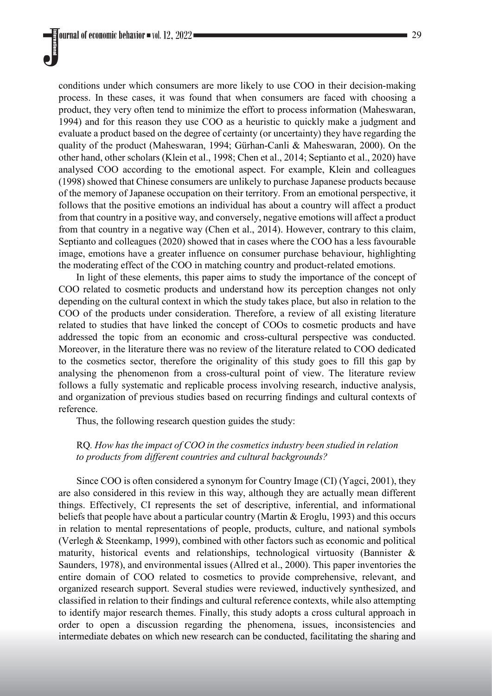conditions under which consumers are more likely to use COO in their decision-making process. In these cases, it was found that when consumers are faced with choosing a product, they very often tend to minimize the effort to process information (Maheswaran, 1994) and for this reason they use COO as a heuristic to quickly make a judgment and evaluate a product based on the degree of certainty (or uncertainty) they have regarding the quality of the product (Maheswaran, 1994; Gürhan-Canli & Maheswaran, 2000). On the other hand, other scholars (Klein et al., 1998; Chen et al., 2014; Septianto et al., 2020) have analysed COO according to the emotional aspect. For example, Klein and colleagues (1998) showed that Chinese consumers are unlikely to purchase Japanese products because of the memory of Japanese occupation on their territory. From an emotional perspective, it follows that the positive emotions an individual has about a country will affect a product from that country in a positive way, and conversely, negative emotions will affect a product from that country in a negative way (Chen et al., 2014). However, contrary to this claim, Septianto and colleagues (2020) showed that in cases where the COO has a less favourable image, emotions have a greater influence on consumer purchase behaviour, highlighting the moderating effect of the COO in matching country and product-related emotions.

In light of these elements, this paper aims to study the importance of the concept of COO related to cosmetic products and understand how its perception changes not only depending on the cultural context in which the study takes place, but also in relation to the COO of the products under consideration. Therefore, a review of all existing literature related to studies that have linked the concept of COOs to cosmetic products and have addressed the topic from an economic and cross-cultural perspective was conducted. Moreover, in the literature there was no review of the literature related to COO dedicated to the cosmetics sector, therefore the originality of this study goes to fill this gap by analysing the phenomenon from a cross-cultural point of view. The literature review follows a fully systematic and replicable process involving research, inductive analysis, and organization of previous studies based on recurring findings and cultural contexts of reference.

Thus, the following research question guides the study:

## RQ*. How has the impact of COO in the cosmetics industry been studied in relation to products from different countries and cultural backgrounds?*

Since COO is often considered a synonym for Country Image (CI) (Yagci, 2001), they are also considered in this review in this way, although they are actually mean different things. Effectively, CI represents the set of descriptive, inferential, and informational beliefs that people have about a particular country (Martin & Eroglu, 1993) and this occurs in relation to mental representations of people, products, culture, and national symbols (Verlegh & Steenkamp, 1999), combined with other factors such as economic and political maturity, historical events and relationships, technological virtuosity (Bannister & Saunders, 1978), and environmental issues (Allred et al., 2000). This paper inventories the entire domain of COO related to cosmetics to provide comprehensive, relevant, and organized research support. Several studies were reviewed, inductively synthesized, and classified in relation to their findings and cultural reference contexts, while also attempting to identify major research themes. Finally, this study adopts a cross cultural approach in order to open a discussion regarding the phenomena, issues, inconsistencies and intermediate debates on which new research can be conducted, facilitating the sharing and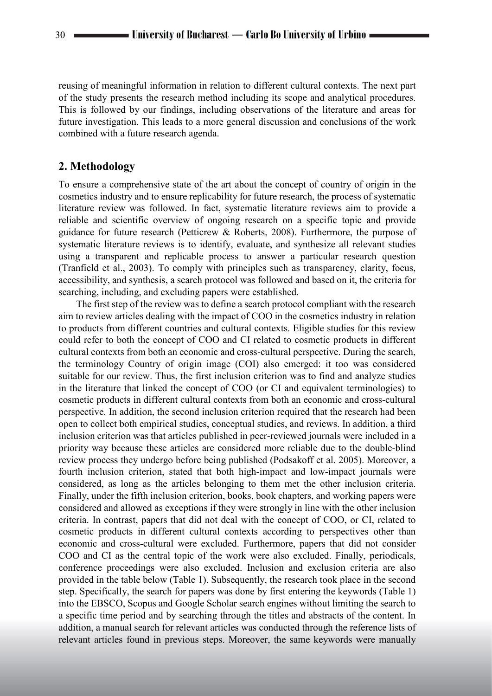reusing of meaningful information in relation to different cultural contexts. The next part of the study presents the research method including its scope and analytical procedures. This is followed by our findings, including observations of the literature and areas for future investigation. This leads to a more general discussion and conclusions of the work combined with a future research agenda.

## **2. Methodology**

To ensure a comprehensive state of the art about the concept of country of origin in the cosmetics industry and to ensure replicability for future research, the process of systematic literature review was followed. In fact, systematic literature reviews aim to provide a reliable and scientific overview of ongoing research on a specific topic and provide guidance for future research (Petticrew & Roberts, 2008). Furthermore, the purpose of systematic literature reviews is to identify, evaluate, and synthesize all relevant studies using a transparent and replicable process to answer a particular research question (Tranfield et al., 2003). To comply with principles such as transparency, clarity, focus, accessibility, and synthesis, a search protocol was followed and based on it, the criteria for searching, including, and excluding papers were established.

The first step of the review was to define a search protocol compliant with the research aim to review articles dealing with the impact of COO in the cosmetics industry in relation to products from different countries and cultural contexts. Eligible studies for this review could refer to both the concept of COO and CI related to cosmetic products in different cultural contexts from both an economic and cross-cultural perspective. During the search, the terminology Country of origin image (COI) also emerged: it too was considered suitable for our review. Thus, the first inclusion criterion was to find and analyze studies in the literature that linked the concept of COO (or CI and equivalent terminologies) to cosmetic products in different cultural contexts from both an economic and cross-cultural perspective. In addition, the second inclusion criterion required that the research had been open to collect both empirical studies, conceptual studies, and reviews. In addition, a third inclusion criterion was that articles published in peer-reviewed journals were included in a priority way because these articles are considered more reliable due to the double-blind review process they undergo before being published (Podsakoff et al. 2005). Moreover, a fourth inclusion criterion, stated that both high-impact and low-impact journals were considered, as long as the articles belonging to them met the other inclusion criteria. Finally, under the fifth inclusion criterion, books, book chapters, and working papers were considered and allowed as exceptions if they were strongly in line with the other inclusion criteria. In contrast, papers that did not deal with the concept of COO, or CI, related to cosmetic products in different cultural contexts according to perspectives other than economic and cross-cultural were excluded. Furthermore, papers that did not consider COO and CI as the central topic of the work were also excluded. Finally, periodicals, conference proceedings were also excluded. Inclusion and exclusion criteria are also provided in the table below (Table 1). Subsequently, the research took place in the second step. Specifically, the search for papers was done by first entering the keywords (Table 1) into the EBSCO, Scopus and Google Scholar search engines without limiting the search to a specific time period and by searching through the titles and abstracts of the content. In addition, a manual search for relevant articles was conducted through the reference lists of relevant articles found in previous steps. Moreover, the same keywords were manually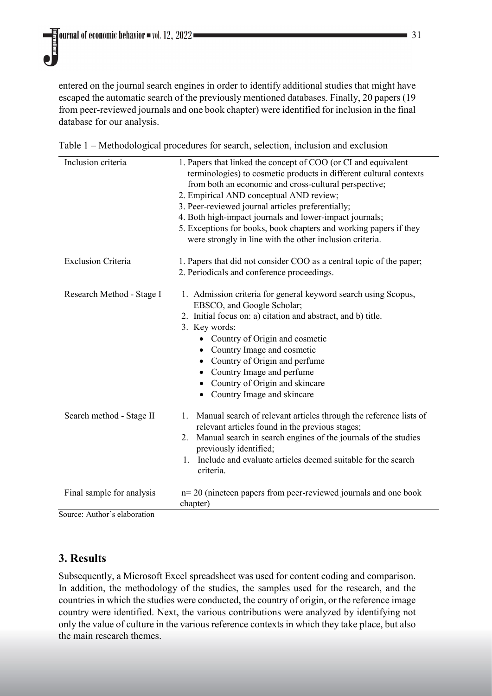entered on the journal search engines in order to identify additional studies that might have escaped the automatic search of the previously mentioned databases. Finally, 20 papers (19 from peer-reviewed journals and one book chapter) were identified for inclusion in the final database for our analysis.

| Inclusion criteria        | 1. Papers that linked the concept of COO (or CI and equivalent<br>terminologies) to cosmetic products in different cultural contexts<br>from both an economic and cross-cultural perspective;<br>2. Empirical AND conceptual AND review;<br>3. Peer-reviewed journal articles preferentially;<br>4. Both high-impact journals and lower-impact journals;<br>5. Exceptions for books, book chapters and working papers if they<br>were strongly in line with the other inclusion criteria. |  |  |
|---------------------------|-------------------------------------------------------------------------------------------------------------------------------------------------------------------------------------------------------------------------------------------------------------------------------------------------------------------------------------------------------------------------------------------------------------------------------------------------------------------------------------------|--|--|
| <b>Exclusion Criteria</b> | 1. Papers that did not consider COO as a central topic of the paper;<br>2. Periodicals and conference proceedings.                                                                                                                                                                                                                                                                                                                                                                        |  |  |
| Research Method - Stage I | 1. Admission criteria for general keyword search using Scopus,<br>EBSCO, and Google Scholar;<br>2. Initial focus on: a) citation and abstract, and b) title.<br>3. Key words:<br>• Country of Origin and cosmetic<br>Country Image and cosmetic<br>Country of Origin and perfume<br>$\bullet$<br>Country Image and perfume<br>Country of Origin and skincare<br>٠<br>Country Image and skincare<br>٠                                                                                      |  |  |
| Search method - Stage II  | Manual search of relevant articles through the reference lists of<br>1.<br>relevant articles found in the previous stages;<br>Manual search in search engines of the journals of the studies<br>2.<br>previously identified;<br>Include and evaluate articles deemed suitable for the search<br>1.<br>criteria.                                                                                                                                                                           |  |  |
| Final sample for analysis | $n=20$ (nineteen papers from peer-reviewed journals and one book<br>chapter)                                                                                                                                                                                                                                                                                                                                                                                                              |  |  |

Source: Author's elaboration

# **3. Results**

Subsequently, a Microsoft Excel spreadsheet was used for content coding and comparison. In addition, the methodology of the studies, the samples used for the research, and the countries in which the studies were conducted, the country of origin, or the reference image country were identified. Next, the various contributions were analyzed by identifying not only the value of culture in the various reference contexts in which they take place, but also the main research themes.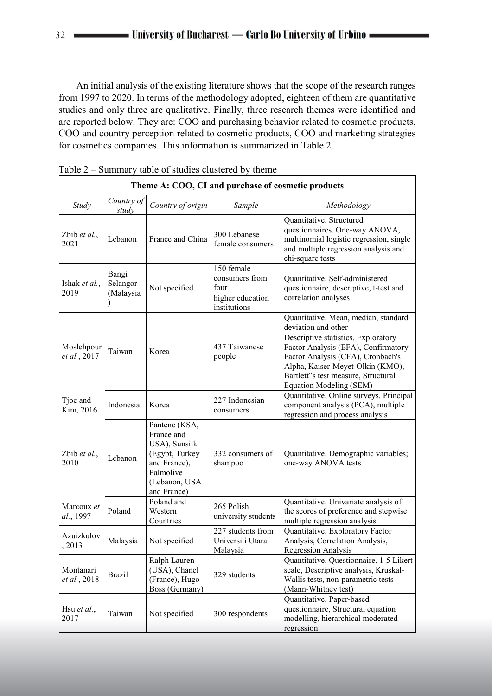An initial analysis of the existing literature shows that the scope of the research ranges from 1997 to 2020. In terms of the methodology adopted, eighteen of them are quantitative studies and only three are qualitative. Finally, three research themes were identified and are reported below. They are: COO and purchasing behavior related to cosmetic products, COO and country perception related to cosmetic products, COO and marketing strategies for cosmetics companies. This information is summarized in Table 2.

| Theme A: COO, CI and purchase of cosmetic products |                                |                                                                                                                             |                                                                          |                                                                                                                                                                                                                                                                                      |  |  |  |
|----------------------------------------------------|--------------------------------|-----------------------------------------------------------------------------------------------------------------------------|--------------------------------------------------------------------------|--------------------------------------------------------------------------------------------------------------------------------------------------------------------------------------------------------------------------------------------------------------------------------------|--|--|--|
| Study                                              | Country of<br>study            | Country of origin                                                                                                           | Sample                                                                   | Methodology                                                                                                                                                                                                                                                                          |  |  |  |
| Zbib et al.,<br>2021                               | Lebanon                        | France and China                                                                                                            | 300 Lebanese<br>female consumers                                         | Quantitative. Structured<br>questionnaires. One-way ANOVA,<br>multinomial logistic regression, single<br>and multiple regression analysis and<br>chi-square tests                                                                                                                    |  |  |  |
| Ishak et al.,<br>2019                              | Bangi<br>Selangor<br>(Malaysia | Not specified                                                                                                               | 150 female<br>consumers from<br>four<br>higher education<br>institutions | Quantitative. Self-administered<br>questionnaire, descriptive, t-test and<br>correlation analyses                                                                                                                                                                                    |  |  |  |
| Moslehpour<br>et al., 2017                         | Taiwan                         | Korea                                                                                                                       | 437 Taiwanese<br>people                                                  | Quantitative. Mean, median, standard<br>deviation and other<br>Descriptive statistics. Exploratory<br>Factor Analysis (EFA), Confirmatory<br>Factor Analysis (CFA), Cronbach's<br>Alpha, Kaiser-Meyet-Olkin (KMO),<br>Bartlett"s test measure, Structural<br>Equation Modeling (SEM) |  |  |  |
| Tjoe and<br>Kim, 2016                              | Indonesia                      | Korea                                                                                                                       | 227 Indonesian<br>consumers                                              | Quantitative. Online surveys. Principal<br>component analysis (PCA), multiple<br>regression and process analysis                                                                                                                                                                     |  |  |  |
| Zbib et al.,<br>2010                               | Lebanon                        | Pantene (KSA,<br>France and<br>USA), Sunsilk<br>(Egypt, Turkey<br>and France),<br>Palmolive<br>(Lebanon, USA<br>and France) | 332 consumers of<br>shampoo                                              | Quantitative. Demographic variables;<br>one-way ANOVA tests                                                                                                                                                                                                                          |  |  |  |
| Marcoux et<br>al., 1997                            | Poland                         | Poland and<br>Western<br>Countries                                                                                          | 265 Polish<br>university students                                        | Quantitative. Univariate analysis of<br>the scores of preference and stepwise<br>multiple regression analysis.                                                                                                                                                                       |  |  |  |
| Azuizkulov<br>2013                                 | Malaysia                       | Not specified                                                                                                               | 227 students from<br>Universiti Utara<br>Malaysia                        | Quantitative. Exploratory Factor<br>Analysis, Correlation Analysis,<br>Regression Analysis                                                                                                                                                                                           |  |  |  |
| Montanari<br>et al., 2018                          | <b>Brazil</b>                  | Ralph Lauren<br>(USA), Chanel<br>(France), Hugo<br>Boss (Germany)                                                           | 329 students                                                             | Quantitative. Questionnaire. 1-5 Likert<br>scale, Descriptive analysis, Kruskal-<br>Wallis tests, non-parametric tests<br>(Mann-Whitney test)                                                                                                                                        |  |  |  |
| Hsu <i>et al.</i> ,<br>2017                        | Taiwan                         | Not specified                                                                                                               | 300 respondents                                                          | Quantitative. Paper-based<br>questionnaire, Structural equation<br>modelling, hierarchical moderated<br>regression                                                                                                                                                                   |  |  |  |

Table 2 – Summary table of studies clustered by theme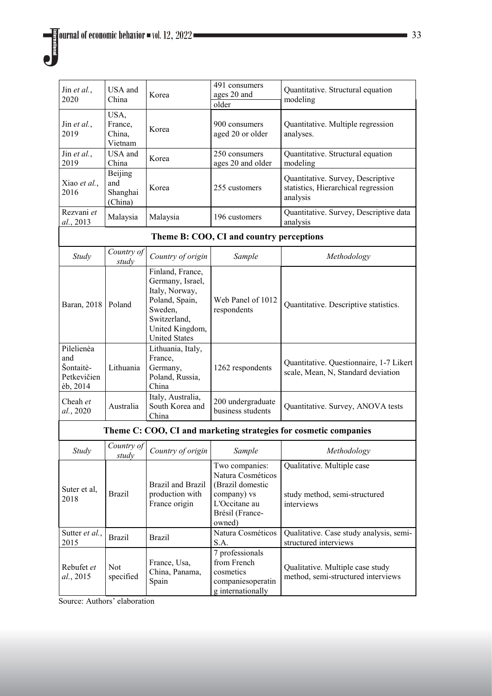| Jin et al.,<br>2020                                              | USA and<br>China                      | Korea                                                                                                                                          | 491 consumers<br>ages 20 and<br>older                                                                                | Quantitative. Structural equation<br>modeling                                        |  |  |  |
|------------------------------------------------------------------|---------------------------------------|------------------------------------------------------------------------------------------------------------------------------------------------|----------------------------------------------------------------------------------------------------------------------|--------------------------------------------------------------------------------------|--|--|--|
| Jin et al.,<br>2019                                              | USA,<br>France,<br>China,<br>Vietnam  | Korea                                                                                                                                          | 900 consumers<br>aged 20 or older                                                                                    | Quantitative. Multiple regression<br>analyses.                                       |  |  |  |
| Jin et al.,<br>2019                                              | USA and<br>China                      | Korea                                                                                                                                          | 250 consumers<br>ages 20 and older                                                                                   | Quantitative. Structural equation<br>modeling                                        |  |  |  |
| Xiao et al.,<br>2016                                             | Beijing<br>and<br>Shanghai<br>(China) | Korea                                                                                                                                          | 255 customers                                                                                                        | Quantitative. Survey, Descriptive<br>statistics, Hierarchical regression<br>analysis |  |  |  |
| Rezvani et<br>al., 2013                                          | Malaysia                              | Malaysia                                                                                                                                       | 196 customers                                                                                                        | Quantitative. Survey, Descriptive data<br>analysis                                   |  |  |  |
|                                                                  |                                       |                                                                                                                                                | Theme B: COO, CI and country perceptions                                                                             |                                                                                      |  |  |  |
| <b>Study</b>                                                     | Country of<br>study                   | Country of origin                                                                                                                              | Sample                                                                                                               | Methodology                                                                          |  |  |  |
| Baran, 2018                                                      | Poland                                | Finland, France,<br>Germany, Israel,<br>Italy, Norway,<br>Poland, Spain,<br>Sweden.<br>Switzerland,<br>United Kingdom,<br><b>United States</b> | Web Panel of 1012<br>respondents                                                                                     | Quantitative. Descriptive statistics.                                                |  |  |  |
| Pilelienèa<br>and<br>Šontaitè-<br>Petkevičien<br>èb, 2014        | Lithuania                             | Lithuania, Italy,<br>France,<br>Germany,<br>Poland, Russia,<br>China                                                                           | 1262 respondents                                                                                                     | Quantitative. Questionnaire, 1-7 Likert<br>scale, Mean, N, Standard deviation        |  |  |  |
| Cheah et<br>al., 2020                                            | Australia                             | Italy, Australia,<br>South Korea and<br>China                                                                                                  | 200 undergraduate<br>business students                                                                               | Quantitative. Survey, ANOVA tests                                                    |  |  |  |
| Theme C: COO, CI and marketing strategies for cosmetic companies |                                       |                                                                                                                                                |                                                                                                                      |                                                                                      |  |  |  |
| Study                                                            | Country of<br>study                   | Country of origin                                                                                                                              | Sample                                                                                                               | Methodology                                                                          |  |  |  |
| Suter et al,<br>2018                                             | <b>Brazil</b>                         | <b>Brazil</b> and <b>Brazil</b><br>production with<br>France origin                                                                            | Two companies:<br>Natura Cosméticos<br>(Brazil domestic<br>company) vs<br>L'Occitane au<br>Brésil (France-<br>owned) | Qualitative. Multiple case<br>study method, semi-structured<br>interviews            |  |  |  |
| Sutter et al.,<br>2015                                           | <b>Brazil</b>                         | <b>Brazil</b>                                                                                                                                  | Natura Cosméticos<br>S.A.                                                                                            | Qualitative. Case study analysis, semi-<br>structured interviews                     |  |  |  |
| Rebufet et<br>al., 2015                                          | Not<br>specified                      | France, Usa,<br>China, Panama,<br>Spain                                                                                                        | 7 professionals<br>from French<br>cosmetics<br>companiesoperatin<br>g internationally                                | Qualitative. Multiple case study<br>method, semi-structured interviews               |  |  |  |

Source: Authors' elaboration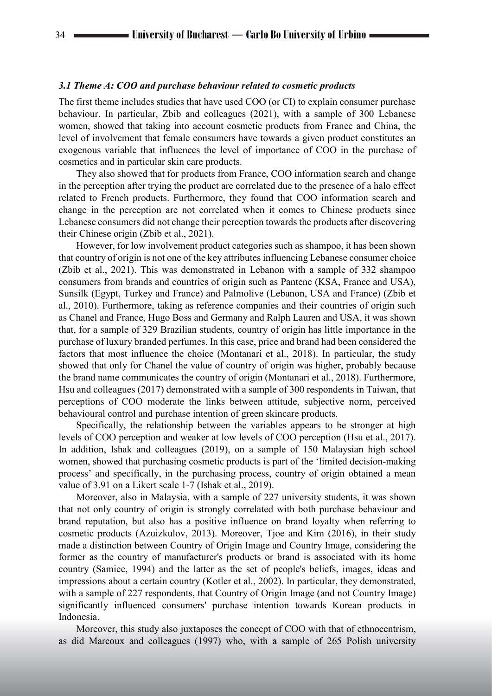#### *3.1 Theme A: COO and purchase behaviour related to cosmetic products*

The first theme includes studies that have used COO (or CI) to explain consumer purchase behaviour. In particular, Zbib and colleagues (2021), with a sample of 300 Lebanese women, showed that taking into account cosmetic products from France and China, the level of involvement that female consumers have towards a given product constitutes an exogenous variable that influences the level of importance of COO in the purchase of cosmetics and in particular skin care products.

They also showed that for products from France, COO information search and change in the perception after trying the product are correlated due to the presence of a halo effect related to French products. Furthermore, they found that COO information search and change in the perception are not correlated when it comes to Chinese products since Lebanese consumers did not change their perception towards the products after discovering their Chinese origin (Zbib et al., 2021).

However, for low involvement product categories such as shampoo, it has been shown that country of origin is not one of the key attributes influencing Lebanese consumer choice (Zbib et al., 2021). This was demonstrated in Lebanon with a sample of 332 shampoo consumers from brands and countries of origin such as Pantene (KSA, France and USA), Sunsilk (Egypt, Turkey and France) and Palmolive (Lebanon, USA and France) (Zbib et al., 2010). Furthermore, taking as reference companies and their countries of origin such as Chanel and France, Hugo Boss and Germany and Ralph Lauren and USA, it was shown that, for a sample of 329 Brazilian students, country of origin has little importance in the purchase of luxury branded perfumes. In this case, price and brand had been considered the factors that most influence the choice (Montanari et al., 2018). In particular, the study showed that only for Chanel the value of country of origin was higher, probably because the brand name communicates the country of origin (Montanari et al., 2018). Furthermore, Hsu and colleagues (2017) demonstrated with a sample of 300 respondents in Taiwan, that perceptions of COO moderate the links between attitude, subjective norm, perceived behavioural control and purchase intention of green skincare products.

Specifically, the relationship between the variables appears to be stronger at high levels of COO perception and weaker at low levels of COO perception (Hsu et al., 2017). In addition, Ishak and colleagues (2019), on a sample of 150 Malaysian high school women, showed that purchasing cosmetic products is part of the 'limited decision-making process' and specifically, in the purchasing process, country of origin obtained a mean value of 3.91 on a Likert scale 1-7 (Ishak et al., 2019).

Moreover, also in Malaysia, with a sample of 227 university students, it was shown that not only country of origin is strongly correlated with both purchase behaviour and brand reputation, but also has a positive influence on brand loyalty when referring to cosmetic products (Azuizkulov, 2013). Moreover, Tjoe and Kim (2016), in their study made a distinction between Country of Origin Image and Country Image, considering the former as the country of manufacturer's products or brand is associated with its home country (Samiee, 1994) and the latter as the set of people's beliefs, images, ideas and impressions about a certain country (Kotler et al., 2002). In particular, they demonstrated, with a sample of 227 respondents, that Country of Origin Image (and not Country Image) significantly influenced consumers' purchase intention towards Korean products in Indonesia.

Moreover, this study also juxtaposes the concept of COO with that of ethnocentrism, as did Marcoux and colleagues (1997) who, with a sample of 265 Polish university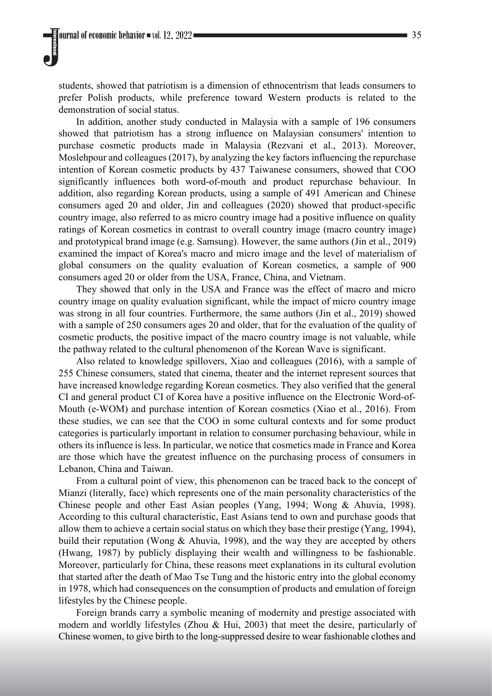students, showed that patriotism is a dimension of ethnocentrism that leads consumers to prefer Polish products, while preference toward Western products is related to the demonstration of social status.

In addition, another study conducted in Malaysia with a sample of 196 consumers showed that patriotism has a strong influence on Malaysian consumers' intention to purchase cosmetic products made in Malaysia (Rezvani et al., 2013). Moreover, Moslehpour and colleagues (2017), by analyzing the key factors influencing the repurchase intention of Korean cosmetic products by 437 Taiwanese consumers, showed that COO significantly influences both word-of-mouth and product repurchase behaviour. In addition, also regarding Korean products, using a sample of 491 American and Chinese consumers aged 20 and older, Jin and colleagues (2020) showed that product-specific country image, also referred to as micro country image had a positive influence on quality ratings of Korean cosmetics in contrast to overall country image (macro country image) and prototypical brand image (e.g. Samsung). However, the same authors (Jin et al., 2019) examined the impact of Korea's macro and micro image and the level of materialism of global consumers on the quality evaluation of Korean cosmetics, a sample of 900 consumers aged 20 or older from the USA, France, China, and Vietnam.

They showed that only in the USA and France was the effect of macro and micro country image on quality evaluation significant, while the impact of micro country image was strong in all four countries. Furthermore, the same authors (Jin et al., 2019) showed with a sample of 250 consumers ages 20 and older, that for the evaluation of the quality of cosmetic products, the positive impact of the macro country image is not valuable, while the pathway related to the cultural phenomenon of the Korean Wave is significant.

Also related to knowledge spillovers, Xiao and colleagues (2016), with a sample of 255 Chinese consumers, stated that cinema, theater and the internet represent sources that have increased knowledge regarding Korean cosmetics. They also verified that the general CI and general product CI of Korea have a positive influence on the Electronic Word-of-Mouth (e-WOM) and purchase intention of Korean cosmetics (Xiao et al., 2016). From these studies, we can see that the COO in some cultural contexts and for some product categories is particularly important in relation to consumer purchasing behaviour, while in others its influence is less. In particular, we notice that cosmetics made in France and Korea are those which have the greatest influence on the purchasing process of consumers in Lebanon, China and Taiwan.

From a cultural point of view, this phenomenon can be traced back to the concept of Mianzi (literally, face) which represents one of the main personality characteristics of the Chinese people and other East Asian peoples (Yang, 1994; Wong & Ahuvia, 1998). According to this cultural characteristic, East Asians tend to own and purchase goods that allow them to achieve a certain social status on which they base their prestige (Yang, 1994), build their reputation (Wong & Ahuvia, 1998), and the way they are accepted by others (Hwang, 1987) by publicly displaying their wealth and willingness to be fashionable. Moreover, particularly for China, these reasons meet explanations in its cultural evolution that started after the death of Mao Tse Tung and the historic entry into the global economy in 1978, which had consequences on the consumption of products and emulation of foreign lifestyles by the Chinese people.

Foreign brands carry a symbolic meaning of modernity and prestige associated with modern and worldly lifestyles (Zhou & Hui, 2003) that meet the desire, particularly of Chinese women, to give birth to the long-suppressed desire to wear fashionable clothes and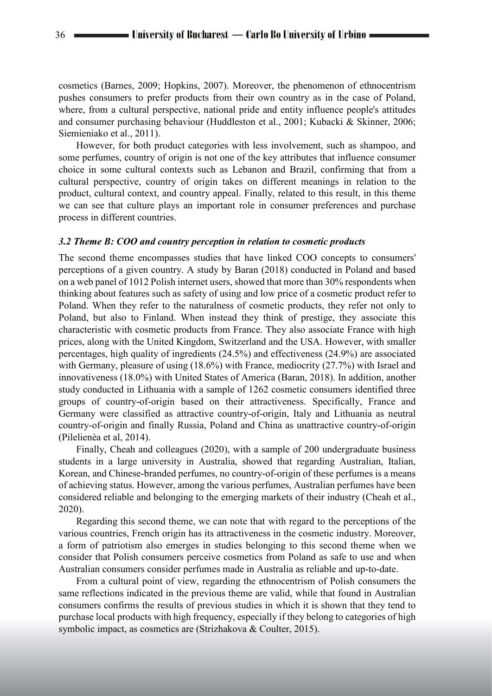cosmetics (Barnes, 2009; Hopkins, 2007). Moreover, the phenomenon of ethnocentrism pushes consumers to prefer products from their own country as in the case of Poland, where, from a cultural perspective, national pride and entity influence people's attitudes and consumer purchasing behaviour (Huddleston et al., 2001; Kubacki & Skinner, 2006; Siemieniako et al., 2011).

However, for both product categories with less involvement, such as shampoo, and some perfumes, country of origin is not one of the key attributes that influence consumer choice in some cultural contexts such as Lebanon and Brazil, confirming that from a cultural perspective, country of origin takes on different meanings in relation to the product, cultural context, and country appeal. Finally, related to this result, in this theme we can see that culture plays an important role in consumer preferences and purchase process in different countries.

#### *3.2 Theme B: COO and country perception in relation to cosmetic products*

The second theme encompasses studies that have linked COO concepts to consumers' perceptions of a given country. A study by Baran (2018) conducted in Poland and based on a web panel of 1012 Polish internet users, showed that more than 30% respondents when thinking about features such as safety of using and low price of a cosmetic product refer to Poland. When they refer to the naturalness of cosmetic products, they refer not only to Poland, but also to Finland. When instead they think of prestige, they associate this characteristic with cosmetic products from France. They also associate France with high prices, along with the United Kingdom, Switzerland and the USA. However, with smaller percentages, high quality of ingredients (24.5%) and effectiveness (24.9%) are associated with Germany, pleasure of using (18.6%) with France, mediocrity (27.7%) with Israel and innovativeness (18.0%) with United States of America (Baran, 2018). In addition, another study conducted in Lithuania with a sample of 1262 cosmetic consumers identified three groups of country-of-origin based on their attractiveness. Specifically, France and Germany were classified as attractive country-of-origin, Italy and Lithuania as neutral country-of-origin and finally Russia, Poland and China as unattractive country-of-origin (Pilelienèa et al, 2014).

Finally, Cheah and colleagues (2020), with a sample of 200 undergraduate business students in a large university in Australia, showed that regarding Australian, Italian, Korean, and Chinese-branded perfumes, no country-of-origin of these perfumes is a means of achieving status. However, among the various perfumes, Australian perfumes have been considered reliable and belonging to the emerging markets of their industry (Cheah et al., 2020).

Regarding this second theme, we can note that with regard to the perceptions of the various countries, French origin has its attractiveness in the cosmetic industry. Moreover, a form of patriotism also emerges in studies belonging to this second theme when we consider that Polish consumers perceive cosmetics from Poland as safe to use and when Australian consumers consider perfumes made in Australia as reliable and up-to-date.

From a cultural point of view, regarding the ethnocentrism of Polish consumers the same reflections indicated in the previous theme are valid, while that found in Australian consumers confirms the results of previous studies in which it is shown that they tend to purchase local products with high frequency, especially if they belong to categories of high symbolic impact, as cosmetics are (Strizhakova & Coulter, 2015).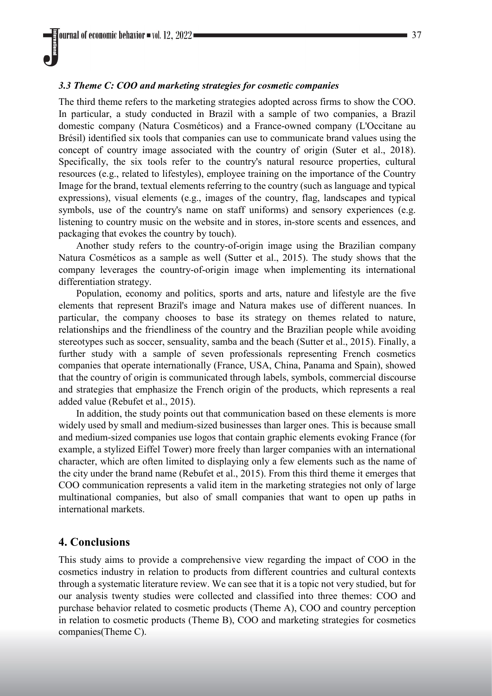## *3.3 Theme C: COO and marketing strategies for cosmetic companies*

The third theme refers to the marketing strategies adopted across firms to show the COO. In particular, a study conducted in Brazil with a sample of two companies, a Brazil domestic company (Natura Cosméticos) and a France-owned company (L'Occitane au Brésil) identified six tools that companies can use to communicate brand values using the concept of country image associated with the country of origin (Suter et al., 2018). Specifically, the six tools refer to the country's natural resource properties, cultural resources (e.g., related to lifestyles), employee training on the importance of the Country Image for the brand, textual elements referring to the country (such as language and typical expressions), visual elements (e.g., images of the country, flag, landscapes and typical symbols, use of the country's name on staff uniforms) and sensory experiences (e.g. listening to country music on the website and in stores, in-store scents and essences, and packaging that evokes the country by touch).

Another study refers to the country-of-origin image using the Brazilian company Natura Cosméticos as a sample as well (Sutter et al., 2015). The study shows that the company leverages the country-of-origin image when implementing its international differentiation strategy.

Population, economy and politics, sports and arts, nature and lifestyle are the five elements that represent Brazil's image and Natura makes use of different nuances. In particular, the company chooses to base its strategy on themes related to nature, relationships and the friendliness of the country and the Brazilian people while avoiding stereotypes such as soccer, sensuality, samba and the beach (Sutter et al., 2015). Finally, a further study with a sample of seven professionals representing French cosmetics companies that operate internationally (France, USA, China, Panama and Spain), showed that the country of origin is communicated through labels, symbols, commercial discourse and strategies that emphasize the French origin of the products, which represents a real added value (Rebufet et al., 2015).

In addition, the study points out that communication based on these elements is more widely used by small and medium-sized businesses than larger ones. This is because small and medium-sized companies use logos that contain graphic elements evoking France (for example, a stylized Eiffel Tower) more freely than larger companies with an international character, which are often limited to displaying only a few elements such as the name of the city under the brand name (Rebufet et al., 2015). From this third theme it emerges that COO communication represents a valid item in the marketing strategies not only of large multinational companies, but also of small companies that want to open up paths in international markets.

# **4. Conclusions**

This study aims to provide a comprehensive view regarding the impact of COO in the cosmetics industry in relation to products from different countries and cultural contexts through a systematic literature review. We can see that it is a topic not very studied, but for our analysis twenty studies were collected and classified into three themes: COO and purchase behavior related to cosmetic products (Theme A), COO and country perception in relation to cosmetic products (Theme B), COO and marketing strategies for cosmetics companies(Theme C).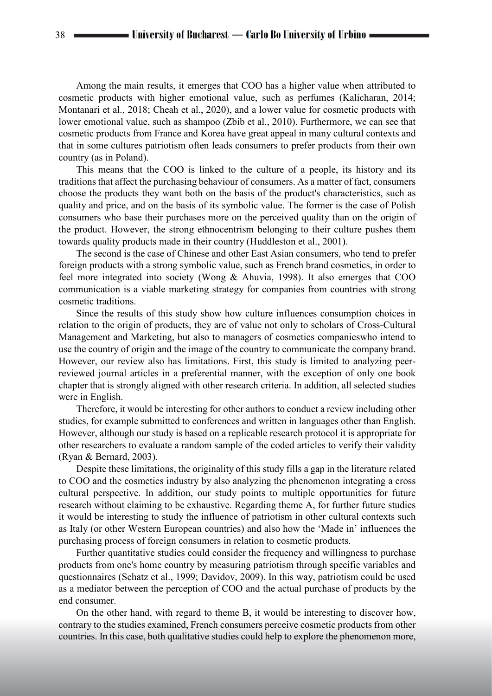Among the main results, it emerges that COO has a higher value when attributed to cosmetic products with higher emotional value, such as perfumes (Kalicharan, 2014; Montanari et al., 2018; Cheah et al., 2020), and a lower value for cosmetic products with lower emotional value, such as shampoo (Zbib et al., 2010). Furthermore, we can see that cosmetic products from France and Korea have great appeal in many cultural contexts and that in some cultures patriotism often leads consumers to prefer products from their own country (as in Poland).

This means that the COO is linked to the culture of a people, its history and its traditions that affect the purchasing behaviour of consumers. As a matter of fact, consumers choose the products they want both on the basis of the product's characteristics, such as quality and price, and on the basis of its symbolic value. The former is the case of Polish consumers who base their purchases more on the perceived quality than on the origin of the product. However, the strong ethnocentrism belonging to their culture pushes them towards quality products made in their country (Huddleston et al., 2001).

The second is the case of Chinese and other East Asian consumers, who tend to prefer foreign products with a strong symbolic value, such as French brand cosmetics, in order to feel more integrated into society (Wong & Ahuvia, 1998). It also emerges that COO communication is a viable marketing strategy for companies from countries with strong cosmetic traditions.

Since the results of this study show how culture influences consumption choices in relation to the origin of products, they are of value not only to scholars of Cross-Cultural Management and Marketing, but also to managers of cosmetics companieswho intend to use the country of origin and the image of the country to communicate the company brand. However, our review also has limitations. First, this study is limited to analyzing peerreviewed journal articles in a preferential manner, with the exception of only one book chapter that is strongly aligned with other research criteria. In addition, all selected studies were in English.

Therefore, it would be interesting for other authors to conduct a review including other studies, for example submitted to conferences and written in languages other than English. However, although our study is based on a replicable research protocol it is appropriate for other researchers to evaluate a random sample of the coded articles to verify their validity (Ryan & Bernard, 2003).

Despite these limitations, the originality of this study fills a gap in the literature related to COO and the cosmetics industry by also analyzing the phenomenon integrating a cross cultural perspective. In addition, our study points to multiple opportunities for future research without claiming to be exhaustive. Regarding theme A, for further future studies it would be interesting to study the influence of patriotism in other cultural contexts such as Italy (or other Western European countries) and also how the 'Made in' influences the purchasing process of foreign consumers in relation to cosmetic products.

Further quantitative studies could consider the frequency and willingness to purchase products from one's home country by measuring patriotism through specific variables and questionnaires (Schatz et al., 1999; Davidov, 2009). In this way, patriotism could be used as a mediator between the perception of COO and the actual purchase of products by the end consumer.

On the other hand, with regard to theme B, it would be interesting to discover how, contrary to the studies examined, French consumers perceive cosmetic products from other countries. In this case, both qualitative studies could help to explore the phenomenon more,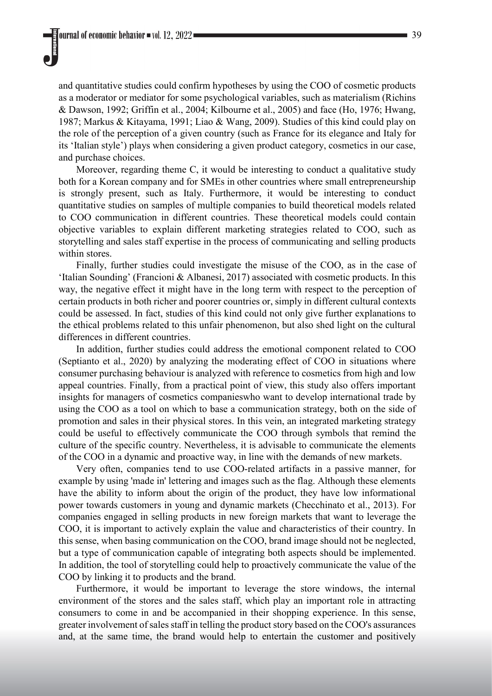and quantitative studies could confirm hypotheses by using the COO of cosmetic products as a moderator or mediator for some psychological variables, such as materialism (Richins & Dawson, 1992; Griffin et al., 2004; Kilbourne et al., 2005) and face (Ho, 1976; Hwang, 1987; Markus & Kitayama, 1991; Liao & Wang, 2009). Studies of this kind could play on the role of the perception of a given country (such as France for its elegance and Italy for its 'Italian style') plays when considering a given product category, cosmetics in our case, and purchase choices.

Moreover, regarding theme C, it would be interesting to conduct a qualitative study both for a Korean company and for SMEs in other countries where small entrepreneurship is strongly present, such as Italy. Furthermore, it would be interesting to conduct quantitative studies on samples of multiple companies to build theoretical models related to COO communication in different countries. These theoretical models could contain objective variables to explain different marketing strategies related to COO, such as storytelling and sales staff expertise in the process of communicating and selling products within stores.

Finally, further studies could investigate the misuse of the COO, as in the case of 'Italian Sounding' (Francioni & Albanesi, 2017) associated with cosmetic products. In this way, the negative effect it might have in the long term with respect to the perception of certain products in both richer and poorer countries or, simply in different cultural contexts could be assessed. In fact, studies of this kind could not only give further explanations to the ethical problems related to this unfair phenomenon, but also shed light on the cultural differences in different countries.

In addition, further studies could address the emotional component related to COO (Septianto et al., 2020) by analyzing the moderating effect of COO in situations where consumer purchasing behaviour is analyzed with reference to cosmetics from high and low appeal countries. Finally, from a practical point of view, this study also offers important insights for managers of cosmetics companieswho want to develop international trade by using the COO as a tool on which to base a communication strategy, both on the side of promotion and sales in their physical stores. In this vein, an integrated marketing strategy could be useful to effectively communicate the COO through symbols that remind the culture of the specific country. Nevertheless, it is advisable to communicate the elements of the COO in a dynamic and proactive way, in line with the demands of new markets.

Very often, companies tend to use COO-related artifacts in a passive manner, for example by using 'made in' lettering and images such as the flag. Although these elements have the ability to inform about the origin of the product, they have low informational power towards customers in young and dynamic markets (Checchinato et al., 2013). For companies engaged in selling products in new foreign markets that want to leverage the COO, it is important to actively explain the value and characteristics of their country. In this sense, when basing communication on the COO, brand image should not be neglected, but a type of communication capable of integrating both aspects should be implemented. In addition, the tool of storytelling could help to proactively communicate the value of the COO by linking it to products and the brand.

Furthermore, it would be important to leverage the store windows, the internal environment of the stores and the sales staff, which play an important role in attracting consumers to come in and be accompanied in their shopping experience. In this sense, greater involvement of sales staff in telling the product story based on the COO's assurances and, at the same time, the brand would help to entertain the customer and positively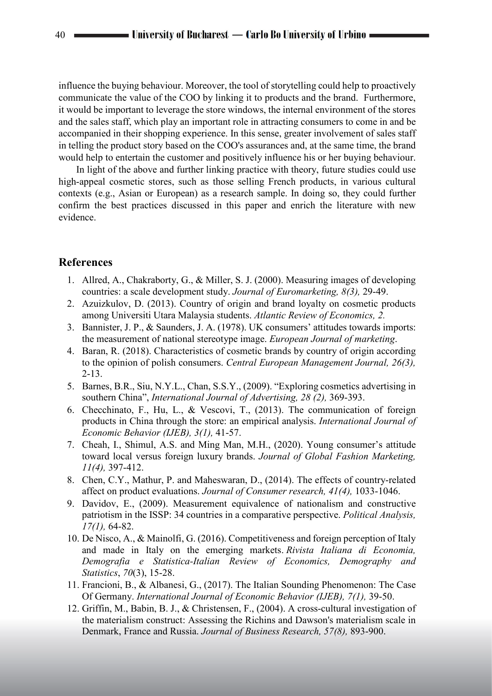influence the buying behaviour. Moreover, the tool of storytelling could help to proactively communicate the value of the COO by linking it to products and the brand. Furthermore, it would be important to leverage the store windows, the internal environment of the stores and the sales staff, which play an important role in attracting consumers to come in and be accompanied in their shopping experience. In this sense, greater involvement of sales staff in telling the product story based on the COO's assurances and, at the same time, the brand would help to entertain the customer and positively influence his or her buying behaviour.

In light of the above and further linking practice with theory, future studies could use high-appeal cosmetic stores, such as those selling French products, in various cultural contexts (e.g., Asian or European) as a research sample. In doing so, they could further confirm the best practices discussed in this paper and enrich the literature with new evidence.

# **References**

- 1. Allred, A., Chakraborty, G., & Miller, S. J. (2000). Measuring images of developing countries: a scale development study. *Journal of Euromarketing, 8(3),* 29-49.
- 2. Azuizkulov, D. (2013). Country of origin and brand loyalty on cosmetic products among Universiti Utara Malaysia students. *Atlantic Review of Economics, 2.*
- 3. Bannister, J. P., & Saunders, J. A. (1978). UK consumers' attitudes towards imports: the measurement of national stereotype image. *European Journal of marketing*.
- 4. Baran, R. (2018). Characteristics of cosmetic brands by country of origin according to the opinion of polish consumers. *Central European Management Journal, 26(3),* 2-13.
- 5. Barnes, B.R., Siu, N.Y.L., Chan, S.S.Y., (2009). "Exploring cosmetics advertising in southern China", *International Journal of Advertising, 28 (2),* 369-393.
- 6. Checchinato, F., Hu, L., & Vescovi, T., (2013). The communication of foreign products in China through the store: an empirical analysis. *International Journal of Economic Behavior (IJEB), 3(1),* 41-57.
- 7. Cheah, I., Shimul, A.S. and Ming Man, M.H., (2020). Young consumer's attitude toward local versus foreign luxury brands. *Journal of Global Fashion Marketing, 11(4),* 397-412.
- 8. Chen, C.Y., Mathur, P. and Maheswaran, D., (2014). The effects of country-related affect on product evaluations. *Journal of Consumer research, 41(4),* 1033-1046.
- 9. Davidov, E., (2009). Measurement equivalence of nationalism and constructive patriotism in the ISSP: 34 countries in a comparative perspective. *Political Analysis, 17(1),* 64-82.
- 10. De Nisco, A., & Mainolfi, G. (2016). Competitiveness and foreign perception of Italy and made in Italy on the emerging markets. *Rivista Italiana di Economia, Demografia e Statistica-Italian Review of Economics, Demography and Statistics*, *70*(3), 15-28.
- 11. Francioni, B., & Albanesi, G., (2017). The Italian Sounding Phenomenon: The Case Of Germany. *International Journal of Economic Behavior (IJEB), 7(1),* 39-50.
- 12. Griffin, M., Babin, B. J., & Christensen, F., (2004). A cross-cultural investigation of the materialism construct: Assessing the Richins and Dawson's materialism scale in Denmark, France and Russia. *Journal of Business Research, 57(8),* 893-900.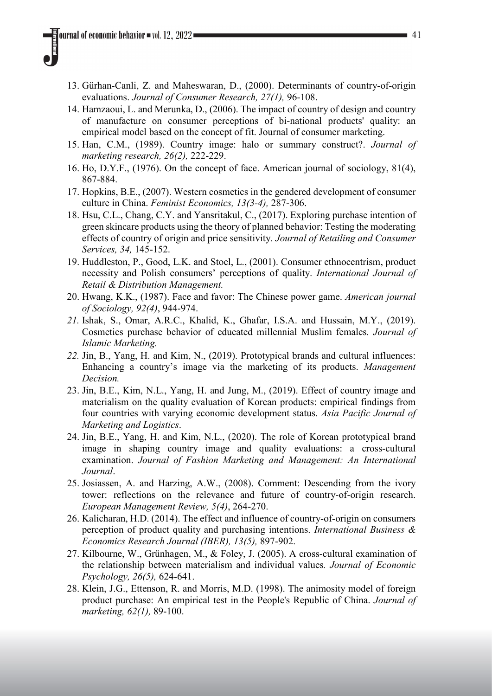- 13. Gürhan-Canli, Z. and Maheswaran, D., (2000). Determinants of country-of-origin evaluations. *Journal of Consumer Research, 27(1),* 96-108.
- 14. Hamzaoui, L. and Merunka, D., (2006). The impact of country of design and country of manufacture on consumer perceptions of bi‐national products' quality: an empirical model based on the concept of fit. Journal of consumer marketing.
- 15. Han, C.M., (1989). Country image: halo or summary construct?. *Journal of marketing research, 26(2),* 222-229.
- 16. Ho, D.Y.F., (1976). On the concept of face. American journal of sociology, 81(4), 867-884.
- 17. Hopkins, B.E., (2007). Western cosmetics in the gendered development of consumer culture in China. *Feminist Economics, 13(3-4),* 287-306.
- 18. Hsu, C.L., Chang, C.Y. and Yansritakul, C., (2017). Exploring purchase intention of green skincare products using the theory of planned behavior: Testing the moderating effects of country of origin and price sensitivity. *Journal of Retailing and Consumer Services, 34,* 145-152.
- 19. Huddleston, P., Good, L.K. and Stoel, L., (2001). Consumer ethnocentrism, product necessity and Polish consumers' perceptions of quality. *International Journal of Retail & Distribution Management.*
- 20. Hwang, K.K., (1987). Face and favor: The Chinese power game. *American journal of Sociology, 92(4)*, 944-974.
- *21.* Ishak, S., Omar, A.R.C., Khalid, K., Ghafar, I.S.A. and Hussain, M.Y., (2019). Cosmetics purchase behavior of educated millennial Muslim females*. Journal of Islamic Marketing.*
- *22.* Jin, B., Yang, H. and Kim, N., (2019). Prototypical brands and cultural influences: Enhancing a country's image via the marketing of its products. *Management Decision.*
- 23. Jin, B.E., Kim, N.L., Yang, H. and Jung, M., (2019). Effect of country image and materialism on the quality evaluation of Korean products: empirical findings from four countries with varying economic development status. *Asia Pacific Journal of Marketing and Logistics*.
- 24. Jin, B.E., Yang, H. and Kim, N.L., (2020). The role of Korean prototypical brand image in shaping country image and quality evaluations: a cross-cultural examination. *Journal of Fashion Marketing and Management: An International Journal*.
- 25. Josiassen, A. and Harzing, A.W., (2008). Comment: Descending from the ivory tower: reflections on the relevance and future of country-of-origin research. *European Management Review, 5(4)*, 264-270.
- 26. Kalicharan, H.D. (2014). The effect and influence of country-of-origin on consumers perception of product quality and purchasing intentions. *International Business & Economics Research Journal (IBER), 13(5),* 897-902.
- 27. Kilbourne, W., Grünhagen, M., & Foley, J. (2005). A cross-cultural examination of the relationship between materialism and individual values*. Journal of Economic Psychology, 26(5),* 624-641.
- 28. Klein, J.G., Ettenson, R. and Morris, M.D. (1998). The animosity model of foreign product purchase: An empirical test in the People's Republic of China. *Journal of marketing, 62(1),* 89-100.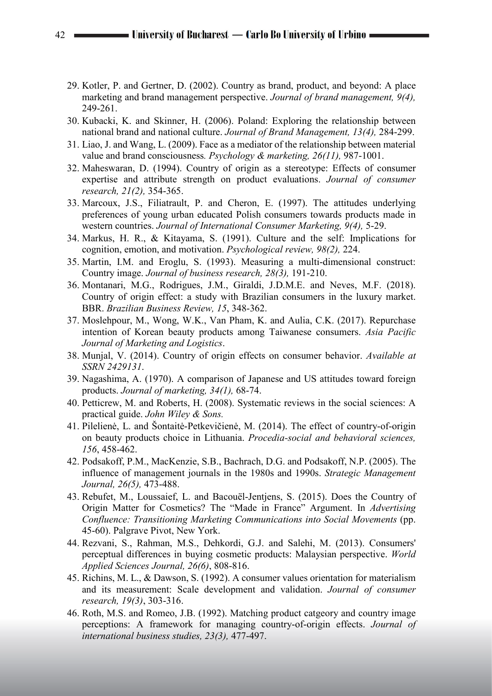- 29. Kotler, P. and Gertner, D. (2002). Country as brand, product, and beyond: A place marketing and brand management perspective. *Journal of brand management, 9(4),* 249-261.
- 30. Kubacki, K. and Skinner, H. (2006). Poland: Exploring the relationship between national brand and national culture. *Journal of Brand Management, 13(4),* 284-299.
- 31. Liao, J. and Wang, L. (2009). Face as a mediator of the relationship between material value and brand consciousness*. Psychology & marketing, 26(11),* 987-1001.
- 32. Maheswaran, D. (1994). Country of origin as a stereotype: Effects of consumer expertise and attribute strength on product evaluations. *Journal of consumer research, 21(2),* 354-365.
- 33. Marcoux, J.S., Filiatrault, P. and Cheron, E. (1997). The attitudes underlying preferences of young urban educated Polish consumers towards products made in western countries. *Journal of International Consumer Marketing, 9(4),* 5-29.
- 34. Markus, H. R., & Kitayama, S. (1991). Culture and the self: Implications for cognition, emotion, and motivation. *Psychological review, 98(2),* 224.
- 35. Martin, I.M. and Eroglu, S. (1993). Measuring a multi-dimensional construct: Country image. *Journal of business research, 28(3),* 191-210.
- 36. Montanari, M.G., Rodrigues, J.M., Giraldi, J.D.M.E. and Neves, M.F. (2018). Country of origin effect: a study with Brazilian consumers in the luxury market. BBR. *Brazilian Business Review, 15*, 348-362.
- 37. Moslehpour, M., Wong, W.K., Van Pham, K. and Aulia, C.K. (2017). Repurchase intention of Korean beauty products among Taiwanese consumers. *Asia Pacific Journal of Marketing and Logistics*.
- 38. Munjal, V. (2014). Country of origin effects on consumer behavior. *Available at SSRN 2429131*.
- 39. Nagashima, A. (1970). A comparison of Japanese and US attitudes toward foreign products. *Journal of marketing, 34(1),* 68-74.
- 40. Petticrew, M. and Roberts, H. (2008). Systematic reviews in the social sciences: A practical guide. *John Wiley & Sons.*
- 41. Pilelienė, L. and Šontaitė-Petkevičienė, M. (2014). The effect of country-of-origin on beauty products choice in Lithuania. *Procedia-social and behavioral sciences, 156*, 458-462.
- 42. Podsakoff, P.M., MacKenzie, S.B., Bachrach, D.G. and Podsakoff, N.P. (2005). The influence of management journals in the 1980s and 1990s. *Strategic Management Journal, 26(5),* 473-488.
- 43. Rebufet, M., Loussaief, L. and Bacouël-Jentjens, S. (2015). Does the Country of Origin Matter for Cosmetics? The "Made in France" Argument. In *Advertising Confluence: Transitioning Marketing Communications into Social Movements* (pp. 45-60). Palgrave Pivot, New York.
- 44. Rezvani, S., Rahman, M.S., Dehkordi, G.J. and Salehi, M. (2013). Consumers' perceptual differences in buying cosmetic products: Malaysian perspective. *World Applied Sciences Journal, 26(6)*, 808-816.
- 45. Richins, M. L., & Dawson, S. (1992). A consumer values orientation for materialism and its measurement: Scale development and validation. *Journal of consumer research, 19(3)*, 303-316.
- 46. Roth, M.S. and Romeo, J.B. (1992). Matching product catgeory and country image perceptions: A framework for managing country-of-origin effects. *Journal of international business studies, 23(3),* 477-497.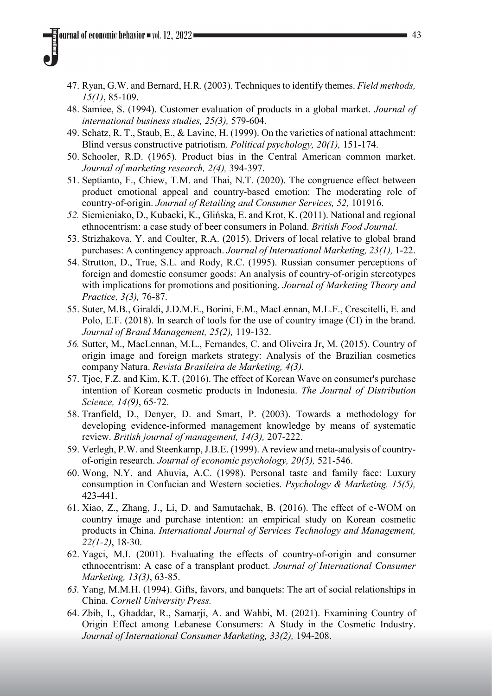- 47. Ryan, G.W. and Bernard, H.R. (2003). Techniques to identify themes. *Field methods, 15(1)*, 85-109.
- 48. Samiee, S. (1994). Customer evaluation of products in a global market. *Journal of international business studies, 25(3),* 579-604.
- 49. Schatz, R. T., Staub, E., & Lavine, H. (1999). On the varieties of national attachment: Blind versus constructive patriotism. *Political psychology, 20(1),* 151-174.
- 50. Schooler, R.D. (1965). Product bias in the Central American common market. *Journal of marketing research, 2(4),* 394-397.
- 51. Septianto, F., Chiew, T.M. and Thai, N.T. (2020). The congruence effect between product emotional appeal and country-based emotion: The moderating role of country-of-origin. *Journal of Retailing and Consumer Services, 52,* 101916.
- *52.* Siemieniako, D., Kubacki, K., Glińska, E. and Krot, K. (2011). National and regional ethnocentrism: a case study of beer consumers in Poland. *British Food Journal.*
- 53. Strizhakova, Y. and Coulter, R.A. (2015). Drivers of local relative to global brand purchases: A contingency approach. *Journal of International Marketing, 23(1),* 1-22.
- 54. Strutton, D., True, S.L. and Rody, R.C. (1995). Russian consumer perceptions of foreign and domestic consumer goods: An analysis of country-of-origin stereotypes with implications for promotions and positioning. *Journal of Marketing Theory and Practice, 3(3),* 76-87.
- 55. Suter, M.B., Giraldi, J.D.M.E., Borini, F.M., MacLennan, M.L.F., Crescitelli, E. and Polo, E.F. (2018). In search of tools for the use of country image (CI) in the brand. *Journal of Brand Management, 25(2),* 119-132.
- *56.* Sutter, M., MacLennan, M.L., Fernandes, C. and Oliveira Jr, M. (2015). Country of origin image and foreign markets strategy: Analysis of the Brazilian cosmetics company Natura. *Revista Brasileira de Marketing, 4(3).*
- 57. Tjoe, F.Z. and Kim, K.T. (2016). The effect of Korean Wave on consumer's purchase intention of Korean cosmetic products in Indonesia. *The Journal of Distribution Science, 14(9)*, 65-72.
- 58. Tranfield, D., Denyer, D. and Smart, P. (2003). Towards a methodology for developing evidence‐informed management knowledge by means of systematic review. *British journal of management, 14(3),* 207-222.
- 59. Verlegh, P.W. and Steenkamp, J.B.E. (1999). A review and meta-analysis of countryof-origin research. *Journal of economic psychology, 20(5),* 521-546.
- 60. Wong, N.Y. and Ahuvia, A.C. (1998). Personal taste and family face: Luxury consumption in Confucian and Western societies. *Psychology & Marketing, 15(5),* 423-441.
- 61. Xiao, Z., Zhang, J., Li, D. and Samutachak, B. (2016). The effect of e-WOM on country image and purchase intention: an empirical study on Korean cosmetic products in China. *International Journal of Services Technology and Management, 22(1-2)*, 18-30.
- 62. Yagci, M.I. (2001). Evaluating the effects of country-of-origin and consumer ethnocentrism: A case of a transplant product. *Journal of International Consumer Marketing, 13(3)*, 63-85.
- *63.* Yang, M.M.H. (1994). Gifts, favors, and banquets: The art of social relationships in China. *Cornell University Press.*
- 64. Zbib, I., Ghaddar, R., Samarji, A. and Wahbi, M. (2021). Examining Country of Origin Effect among Lebanese Consumers: A Study in the Cosmetic Industry. *Journal of International Consumer Marketing, 33(2),* 194-208.